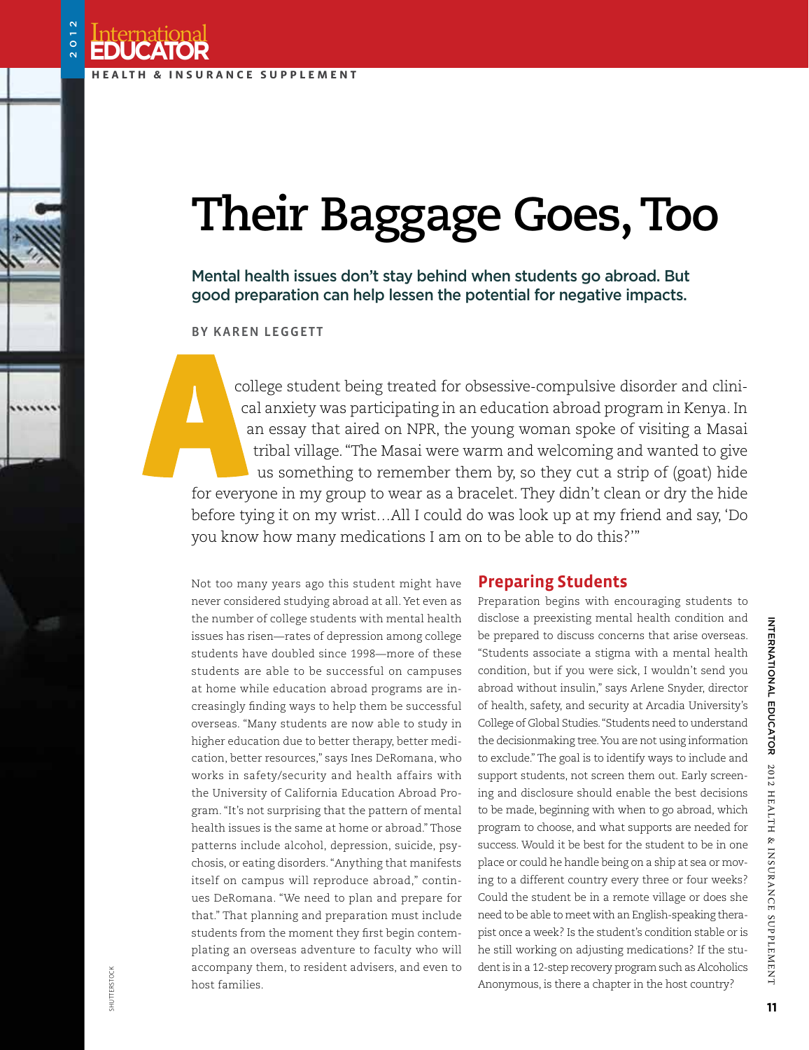International

**Educator**

2012

# **Their Baggage Goes, Too**

Mental health issues don't stay behind when students go abroad. But good preparation can help lessen the potential for negative impacts.

By Karen Leggett

college student being treated for obsessive-compulsive disorder and clinical anxiety was participating in an education abroad program in Kenya. In an essay that aired on NPR, the young woman spoke of visiting a Masai tribal village. "The Masai were warm and welcoming and wanted to give us something to remember them by, so they cut a strip of (goat) hide for everyone in my group to wear as a bracelet. They didn't clean or dry the hide before tying it on my wrist…All I could do was look up at my friend and say, 'Do you know how many medications I am on to be able to do this?'"

Not too many years ago this student might have never considered studying abroad at all. Yet even as the number of college students with mental health issues has risen—rates of depression among college students have doubled since 1998—more of these students are able to be successful on campuses at home while education abroad programs are increasingly finding ways to help them be successful overseas. "Many students are now able to study in higher education due to better therapy, better medication, better resources," says Ines DeRomana, who works in safety/security and health affairs with the University of California Education Abroad Program. "It's not surprising that the pattern of mental health issues is the same at home or abroad." Those patterns include alcohol, depression, suicide, psychosis, or eating disorders. "Anything that manifests itself on campus will reproduce abroad," continues DeRomana. "We need to plan and prepare for that." That planning and preparation must include students from the moment they first begin contemplating an overseas adventure to faculty who will accompany them, to resident advisers, and even to host families.

#### **Preparing Students**

Preparation begins with encouraging students to disclose a preexisting mental health condition and be prepared to discuss concerns that arise overseas. "Students associate a stigma with a mental health condition, but if you were sick, I wouldn't send you abroad without insulin," says Arlene Snyder, director of health, safety, and security at Arcadia University's College of Global Studies. "Students need to understand the decisionmaking tree. You are not using information to exclude." The goal is to identify ways to include and support students, not screen them out. Early screening and disclosure should enable the best decisions to be made, beginning with when to go abroad, which program to choose, and what supports are needed for success. Would it be best for the student to be in one place or could he handle being on a ship at sea or moving to a different country every three or four weeks? Could the student be in a remote village or does she need to be able to meet with an English-speaking therapist once a week? Is the student's condition stable or is he still working on adjusting medications? If the student is in a 12-step recovery program such as Alcoholics Anonymous, is there a chapter in the host country?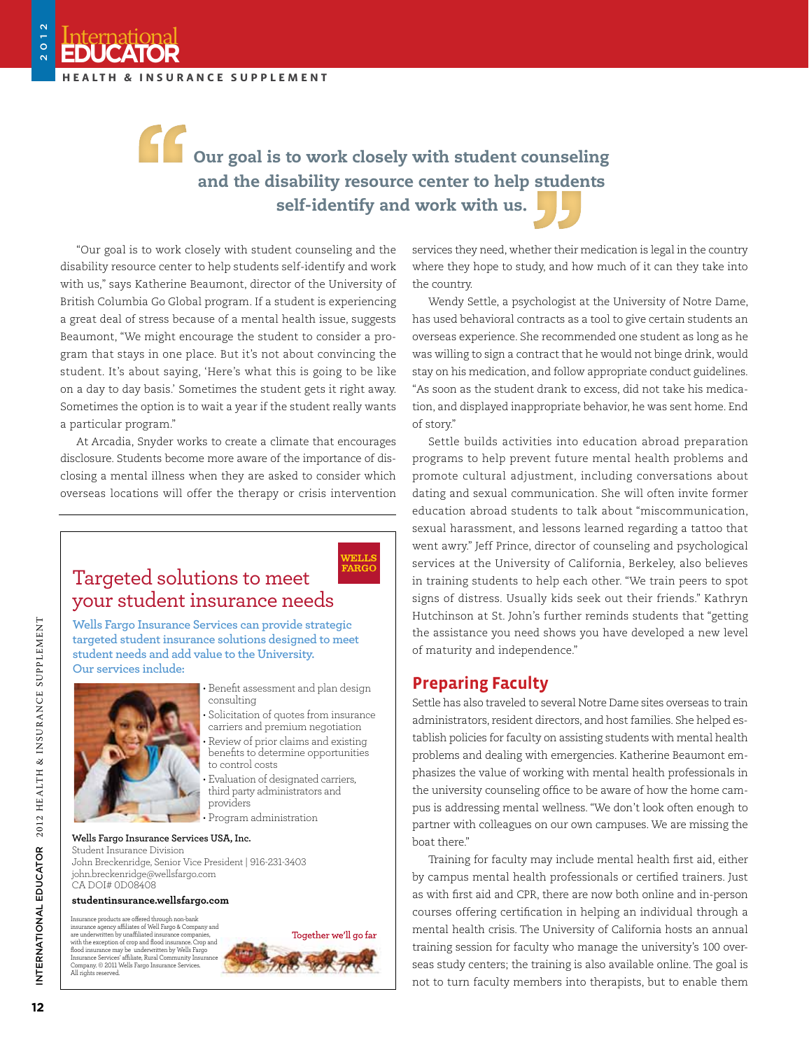International

**Educator**

2012

# Our goal is to work closely with student counseling and the disability resource center to help students self-identify and work with us.

WELLS **FARGO** 

"Our goal is to work closely with student counseling and the disability resource center to help students self-identify and work with us," says Katherine Beaumont, director of the University of British Columbia Go Global program. If a student is experiencing a great deal of stress because of a mental health issue, suggests Beaumont, "We might encourage the student to consider a program that stays in one place. But it's not about convincing the student. It's about saying, 'Here's what this is going to be like on a day to day basis.' Sometimes the student gets it right away. Sometimes the option is to wait a year if the student really wants a particular program."

At Arcadia, Snyder works to create a climate that encourages disclosure. Students become more aware of the importance of disclosing a mental illness when they are asked to consider which overseas locations will offer the therapy or crisis intervention

### Targeted solutions to meet your student insurance needs

**Wells Fargo Insurance Services can provide strategic targeted student insurance solutions designed to meet student needs and add value to the University. Our services include:**



• Benefit assessment and plan design consulting

- Solicitation of quotes from insurance carriers and premium negotiation
- Review of prior claims and existing benefits to determine opportunities to control costs
- Evaluation of designated carriers, third party administrators and providers
- Program administration

#### **Wells Fargo Insurance Services USA, Inc.**

Student Insurance Division John Breckenridge, Senior Vice President | 916-231-3403 john.breckenridge@wellsfargo.com CA DOI# 0D08408

#### **studentinsurance.wellsfargo.com**

Insurance products are offered through non-bank insurance agency affiliates of Well Fargo & Company and are underwritten by unaffiliated insurance companies, with the exception of crop and flood insurance. Crop and flood insurance may be underwritten by Wells Fargo Insurance Services' affiliate, Rural Community Insurance Company. © 2011 Wells Fargo Insurance Services. All rights reserved.



services they need, whether their medication is legal in the country where they hope to study, and how much of it can they take into the country.

Wendy Settle, a psychologist at the University of Notre Dame, has used behavioral contracts as a tool to give certain students an overseas experience. She recommended one student as long as he was willing to sign a contract that he would not binge drink, would stay on his medication, and follow appropriate conduct guidelines. "As soon as the student drank to excess, did not take his medication, and displayed inappropriate behavior, he was sent home. End of story."

Settle builds activities into education abroad preparation programs to help prevent future mental health problems and promote cultural adjustment, including conversations about dating and sexual communication. She will often invite former education abroad students to talk about "miscommunication, sexual harassment, and lessons learned regarding a tattoo that went awry." Jeff Prince, director of counseling and psychological services at the University of California, Berkeley, also believes in training students to help each other. "We train peers to spot signs of distress. Usually kids seek out their friends." Kathryn Hutchinson at St. John's further reminds students that "getting the assistance you need shows you have developed a new level of maturity and independence."

#### **Preparing Faculty**

Settle has also traveled to several Notre Dame sites overseas to train administrators, resident directors, and host families. She helped establish policies for faculty on assisting students with mental health problems and dealing with emergencies. Katherine Beaumont emphasizes the value of working with mental health professionals in the university counseling office to be aware of how the home campus is addressing mental wellness. "We don't look often enough to partner with colleagues on our own campuses. We are missing the boat there."

Training for faculty may include mental health first aid, either by campus mental health professionals or certified trainers. Just as with first aid and CPR, there are now both online and in-person courses offering certification in helping an individual through a mental health crisis. The University of California hosts an annual training session for faculty who manage the university's 100 overseas study centers; the training is also available online. The goal is not to turn faculty members into therapists, but to enable them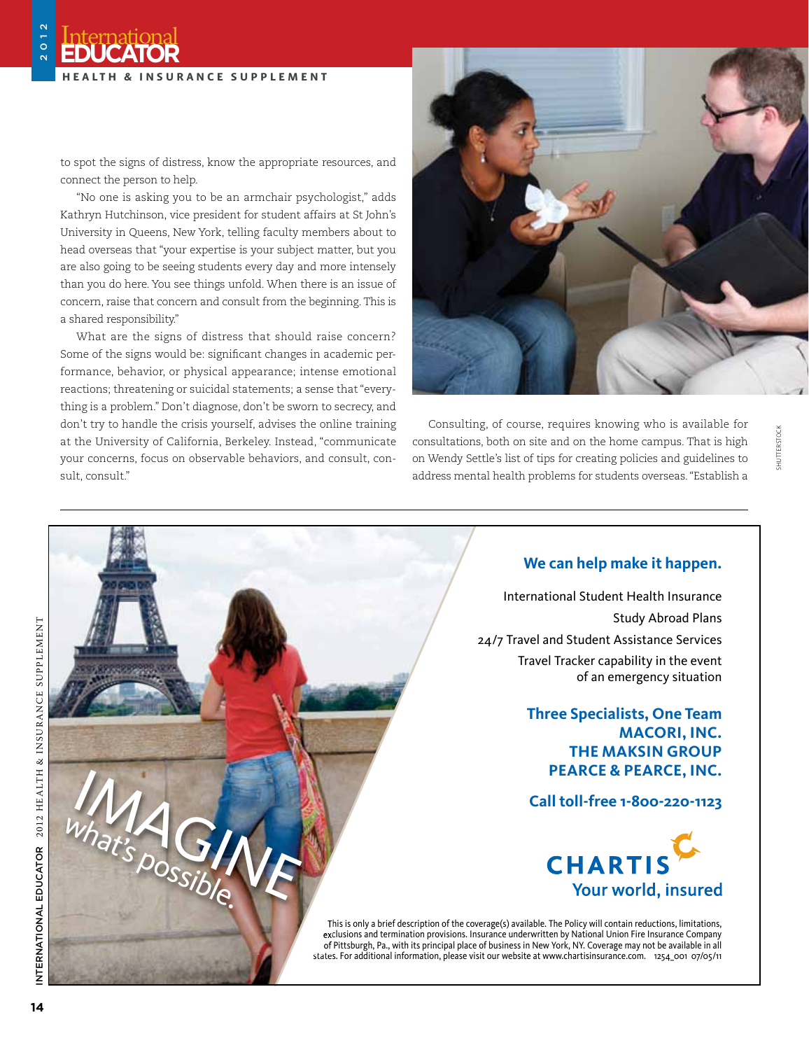to spot the signs of distress, know the appropriate resources, and connect the person to help.

"No one is asking you to be an armchair psychologist," adds Kathryn Hutchinson, vice president for student affairs at St John's University in Queens, New York, telling faculty members about to head overseas that "your expertise is your subject matter, but you are also going to be seeing students every day and more intensely than you do here. You see things unfold. When there is an issue of concern, raise that concern and consult from the beginning. This is a shared responsibility."

What are the signs of distress that should raise concern? Some of the signs would be: significant changes in academic performance, behavior, or physical appearance; intense emotional reactions; threatening or suicidal statements; a sense that "everything is a problem." Don't diagnose, don't be sworn to secrecy, and don't try to handle the crisis yourself, advises the online training at the University of California, Berkeley. Instead, "communicate your concerns, focus on observable behaviors, and consult, consult, consult."

1254\_001NAFSA International Educator Directory 9-11



Consulting, of course, requires knowing who is available for consultations, both on site and on the home campus. That is high on Wendy Settle's list of tips for creating policies and guidelines to address mental health problems for students overseas. "Establish a

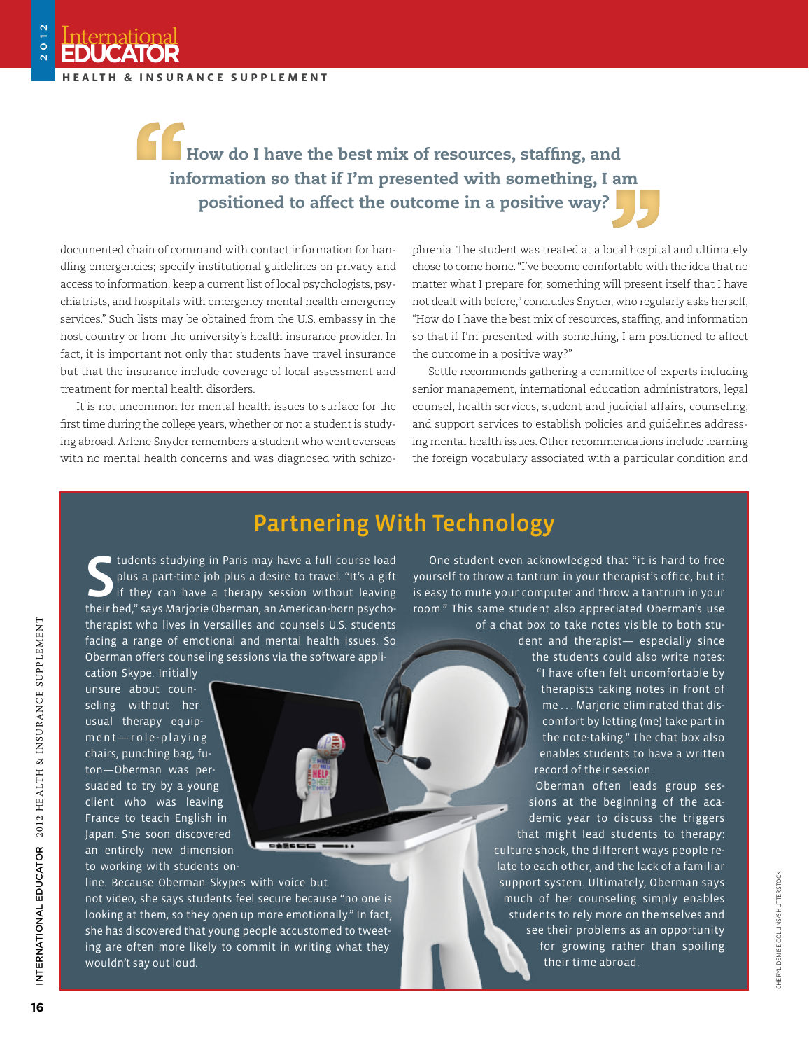International

**Educator**

2012

## How do I have the best mix of resources, staffing, and information so that if I'm presented with something, I am positioned to affect the outcome in a positive way?

documented chain of command with contact information for handling emergencies; specify institutional guidelines on privacy and access to information; keep a current list of local psychologists, psychiatrists, and hospitals with emergency mental health emergency services." Such lists may be obtained from the U.S. embassy in the host country or from the university's health insurance provider. In fact, it is important not only that students have travel insurance but that the insurance include coverage of local assessment and treatment for mental health disorders.

It is not uncommon for mental health issues to surface for the first time during the college years, whether or not a student is studying abroad. Arlene Snyder remembers a student who went overseas with no mental health concerns and was diagnosed with schizophrenia. The student was treated at a local hospital and ultimately chose to come home. "I've become comfortable with the idea that no matter what I prepare for, something will present itself that I have not dealt with before," concludes Snyder, who regularly asks herself, "How do I have the best mix of resources, staffing, and information so that if I'm presented with something, I am positioned to affect the outcome in a positive way?"

Settle recommends gathering a committee of experts including senior management, international education administrators, legal counsel, health services, student and judicial affairs, counseling, and support services to establish policies and guidelines addressing mental health issues. Other recommendations include learning the foreign vocabulary associated with a particular condition and

### Partnering With Technology

Students studying in Paris may have a full course load<br>plus a part-time job plus a desire to travel. "It's a gift<br>if they can have a therapy session without leaving<br>their bed," says Marjorie Oberman, an American-born psych tudents studying in Paris may have a full course load plus a part-time job plus a desire to travel. "It's a gift if they can have a therapy session without leaving therapist who lives in Versailles and counsels U.S. students facing a range of emotional and mental health issues. So Oberman offers counseling sessions via the software appli-

not video, she says students feel secure because "no one is looking at them, so they open up more emotionally." In fact, she has discovered that young people accustomed to tweeting are often more likely to commit in writing what they

 $-$ 

cation Skype. Initially unsure about counseling without her usual therapy equipm e n t - r o l e - p l a y i n g chairs, punching bag, futon—Oberman was persuaded to try by a young client who was leaving France to teach English in Japan. She soon discovered an entirely new dimension to working with students online. Because Oberman Skypes with voice but

wouldn't say out loud.

One student even acknowledged that "it is hard to free yourself to throw a tantrum in your therapist's office, but it is easy to mute your computer and throw a tantrum in your room." This same student also appreciated Oberman's use of a chat box to take notes visible to both stu-

dent and therapist— especially since the students could also write notes: "I have often felt uncomfortable by therapists taking notes in front of me . . . Marjorie eliminated that discomfort by letting (me) take part in the note-taking." The chat box also enables students to have a written record of their session.

Oberman often leads group sessions at the beginning of the academic year to discuss the triggers that might lead students to therapy: culture shock, the different ways people relate to each other, and the lack of a familiar support system. Ultimately, Oberman says much of her counseling simply enables students to rely more on themselves and see their problems as an opportunity for growing rather than spoiling their time abroad.